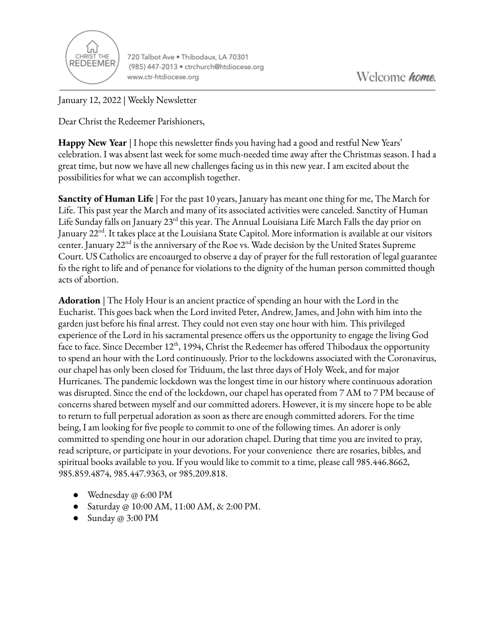

720 Talbot Ave . Thibodaux, LA 70301 (985) 447-2013 · ctrchurch@htdiocese.org www.ctr-htdiocese.org

January 12, 2022 | Weekly Newsletter

Dear Christ the Redeemer Parishioners,

**Happy New Year** | I hope this newsletter finds you having had a good and restful New Years' celebration. I was absent last week for some much-needed time away after the Christmas season. I had a great time, but now we have all new challenges facing us in this new year. I am excited about the possibilities for what we can accomplish together.

**Sanctity of Human Life** | For the past 10 years, January has meant one thing for me, The March for Life. This past year the March and many of its associated activities were canceled. Sanctity of Human Life Sunday falls on January 23<sup>rd</sup> this year. The Annual Louisiana Life March Falls the day prior on January 22<sup>nd</sup>. It takes place at the Louisiana State Capitol. More information is available at our visitors center. January 22<sup>nd</sup> is the anniversary of the Roe vs. Wade decision by the United States Supreme Court. US Catholics are encoaurged to observe a day of prayer for the full restoration of legal guarantee fo the right to life and of penance for violations to the dignity of the human person committed though acts of abortion.

**Adoration** | The Holy Hour is an ancient practice of spending an hour with the Lord in the Eucharist. This goes back when the Lord invited Peter, Andrew, James, and John with him into the garden just before his final arrest. They could not even stay one hour with him. This privileged experience of the Lord in his sacramental presence offers us the opportunity to engage the living God face to face. Since December 12<sup>th</sup>, 1994, Christ the Redeemer has offered Thibodaux the opportunity to spend an hour with the Lord continuously. Prior to the lockdowns associated with the Coronavirus, our chapel has only been closed for Triduum, the last three days of Holy Week, and for major Hurricanes. The pandemic lockdown was the longest time in our history where continuous adoration was disrupted. Since the end of the lockdown, our chapel has operated from 7 AM to 7 PM because of concerns shared between myself and our committed adorers. However, it is my sincere hope to be able to return to full perpetual adoration as soon as there are enough committed adorers. For the time being, I am looking for five people to commit to one of the following times. An adorer is only committed to spending one hour in our adoration chapel. During that time you are invited to pray, read scripture, or participate in your devotions. For your convenience there are rosaries, bibles, and spiritual books available to you. If you would like to commit to a time, please call 985.446.8662, 985.859.4874, 985.447.9363, or 985.209.818.

- Wednesday @ 6:00 PM
- Saturday @ 10:00 AM, 11:00 AM, & 2:00 PM.
- Sunday @ 3:00 PM